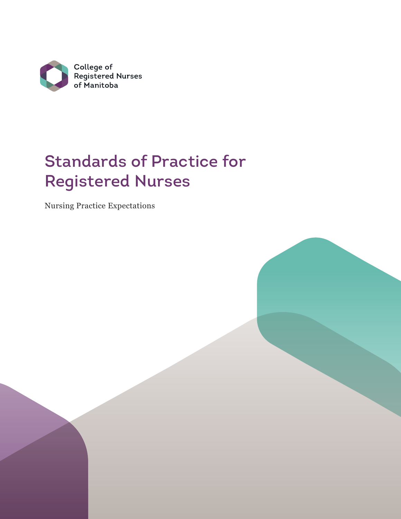

# Standards of Practice for Registered Nurses

Nursing Practice Expectations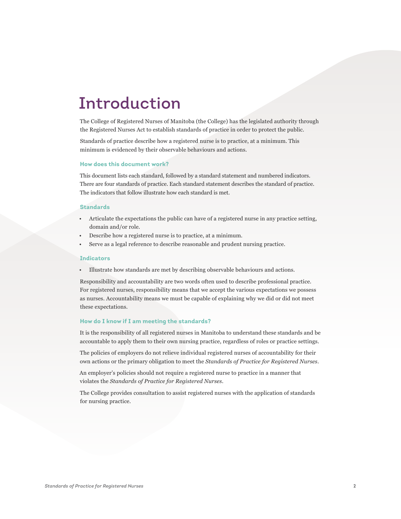## Introduction

The College of Registered Nurses of Manitoba (the College) has the legislated authority through the Registered Nurses Act to establish standards of practice in order to protect the public.

Standards of practice describe how a registered nurse is to practice, at a minimum. This minimum is evidenced by their observable behaviours and actions.

#### **How does this document work?**

This document lists each standard, followed by a standard statement and numbered indicators. There are four standards of practice. Each standard statement describes the standard of practice. The indicators that follow illustrate how each standard is met.

#### **Standards**

- Articulate the expectations the public can have of a registered nurse in any practice setting, domain and/or role.
- Describe how a registered nurse is to practice, at a minimum.
- Serve as a legal reference to describe reasonable and prudent nursing practice.

#### **Indicators**

• Illustrate how standards are met by describing observable behaviours and actions.

Responsibility and accountability are two words often used to describe professional practice. For registered nurses, responsibility means that we accept the various expectations we possess as nurses. Accountability means we must be capable of explaining why we did or did not meet these expectations.

#### **How do I know if I am meeting the standards?**

It is the responsibility of all registered nurses in Manitoba to understand these standards and be accountable to apply them to their own nursing practice, regardless of roles or practice settings.

The policies of employers do not relieve individual registered nurses of accountability for their own actions or the primary obligation to meet the *Standards of Practice for Registered Nurses*.

An employer's policies should not require a registered nurse to practice in a manner that violates the *Standards of Practice for Registered Nurses*.

The College provides consultation to assist registered nurses with the application of standards for nursing practice.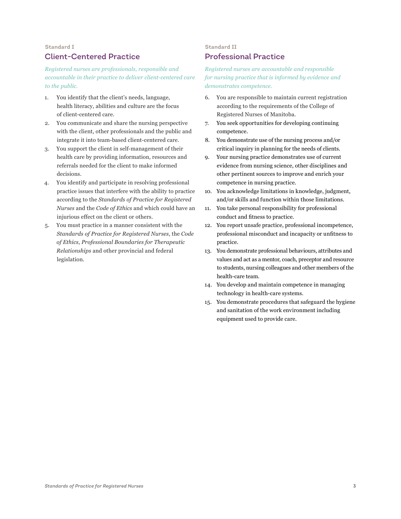## **Standard I** Client-Centered Practice

*Registered nurses are professionals, responsible and accountable in their practice to deliver client-centered care to the public.*

- 1. You identify that the client's needs, language, health literacy, abilities and culture are the focus of client-centered care.
- 2. You communicate and share the nursing perspective with the client, other professionals and the public and integrate it into team-based client-centered care.
- 3. You support the client in self-management of their health care by providing information, resources and referrals needed for the client to make informed decisions.
- 4. You identify and participate in resolving professional practice issues that interfere with the ability to practice according to the *Standards of Practice for Registered Nurses* and the *Code of Ethics* and which could have an injurious effect on the client or others.
- 5. You must practice in a manner consistent with the *Standards of Practice for Registered Nurses*, the *Code of Ethics*, *Professional Boundaries for Therapeutic Relationships* and other provincial and federal legislation.

#### **Standard II**

## Professional Practice

*Registered nurses are accountable and responsible for nursing practice that is informed by evidence and demonstrates competence.* 

- 6. You are responsible to maintain current registration according to the requirements of the College of Registered Nurses of Manitoba.
- 7. You seek opportunities for developing continuing competence.
- 8. You demonstrate use of the nursing process and/or critical inquiry in planning for the needs of clients.
- 9. Your nursing practice demonstrates use of current evidence from nursing science, other disciplines and other pertinent sources to improve and enrich your competence in nursing practice.
- 10. You acknowledge limitations in knowledge, judgment, and/or skills and function within those limitations.
- 11. You take personal responsibility for professional conduct and fitness to practice.
- 12. You report unsafe practice, professional incompetence, professional misconduct and incapacity or unfitness to practice.
- 13. You demonstrate professional behaviours, attributes and values and act as a mentor, coach, preceptor and resource to students, nursing colleagues and other members of the health-care team.
- 14. You develop and maintain competence in managing technology in health-care systems.
- 15. You demonstrate procedures that safeguard the hygiene and sanitation of the work environment including equipment used to provide care.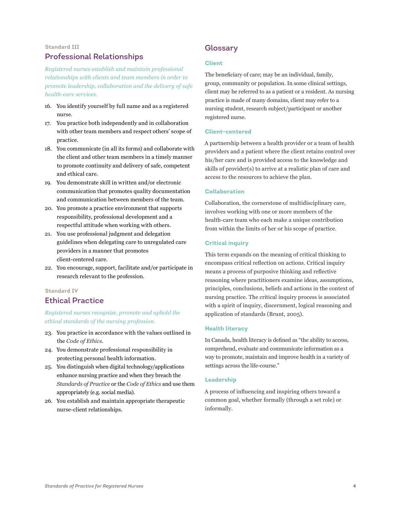## **Standard III** Professional Relationships

*Registered nurses establish and maintain professional relationships with clients and team members in order to promote leadership, collaboration and the delivery of safe health-care services.*

- 16. You identify yourself by full name and as a registered nurse.
- 17. You practice both independently and in collaboration with other team members and respect others' scope of practice.
- 18. You communicate (in all its forms) and collaborate with the client and other team members in a timely manner to promote continuity and delivery of safe, competent and ethical care.
- 19. You demonstrate skill in written and/or electronic communication that promotes quality documentation and communication between members of the team.
- 20. You promote a practice environment that supports responsibility, professional development and a respectful attitude when working with others.
- 21. You use professional judgment and delegation guidelines when delegating care to unregulated care providers in a manner that promotes client-centered care.
- 22. You encourage, support, facilitate and/or participate in research relevant to the profession.

#### **Standard IV**

### Ethical Practice

*Registered nurses recognize, promote and uphold the ethical standards of the nursing profession.*

- 23. You practice in accordance with the values outlined in the *Code of Ethics*.
- 24. You demonstrate professional responsibility in protecting personal health information.
- 25. You distinguish when digital technology/applications enhance nursing practice and when they breach the *Standards of Practice* or the *Code of Ethics* and use them appropriately (e.g. social media).
- 26. You establish and maintain appropriate therapeutic nurse-client relationships.

## Glossary

#### **Client**

The beneficiary of care; may be an individual, family, group, community or population. In some clinical settings, client may be referred to as a patient or a resident. As nursing practice is made of many domains, client may refer to a nursing student, research subject/participant or another registered nurse.

#### **Client-centered**

A partnership between a health provider or a team of health providers and a patient where the client retains control over his/her care and is provided access to the knowledge and skills of provider(s) to arrive at a realistic plan of care and access to the resources to achieve the plan.

#### **Collaboration**

Collaboration, the cornerstone of multidisciplinary care, involves working with one or more members of the health-care team who each make a unique contribution from within the limits of her or his scope of practice.

#### **Critical inquiry**

This term expands on the meaning of critical thinking to encompass critical reflection on actions. Critical inquiry means a process of purposive thinking and reflective reasoning where practitioners examine ideas, assumptions, principles, conclusions, beliefs and actions in the context of nursing practice. The critical inquiry process is associated with a spirit of inquiry, discernment, logical reasoning and application of standards (Brunt, 2005).

#### **Health literacy**

In Canada, health literacy is defined as "the ability to access, comprehend, evaluate and communicate information as a way to promote, maintain and improve health in a variety of settings across the life-course."

#### **Leadership**

A process of influencing and inspiring others toward a common goal, whether formally (through a set role) or informally.